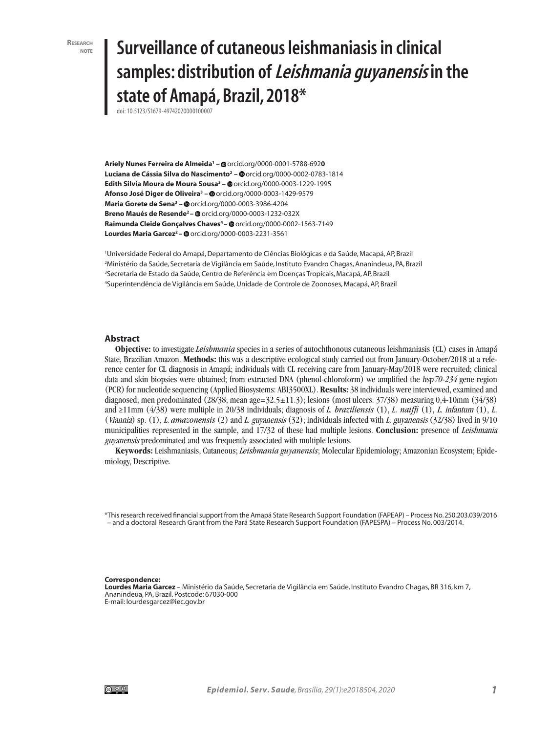# **note Surveillance of cutaneous leishmaniasis in clinical samples: distribution of Leishmania guyanensis in the state of Amapá, Brazil, 2018\***

doi: 10.5123/S1679-49742020000100007

**Ariely Nunes Ferreira de Almeida1 –** orcid.org/0000-0001-5788-692**0 Luciana de Cássia Silva do Nascimento<sup>2</sup> – ©** orcid.org/0000-0002-0783-1814 **Edith Silvia Moura de Moura Sousa3 –** orcid.org/0000-0003-1229-1995 **Afonso José Diger de Oliveira3 –** orcid.org/0000-0003-1429-9579 **Maria Gorete de Sena3 –** orcid.org/0000-0003-3986-4204 **Breno Maués de Resende<sup>2</sup> – @** orcid.org/0000-0003-1232-032X Raimunda Cleide Gonçalves Chaves<sup>4</sup> – @ orcid.org/0000-0002-1563-7149 Lourdes Maria Garcez<sup>2</sup> – @ orcid.org/0000-0003-2231-3561

 Universidade Federal do Amapá, Departamento de Ciências Biológicas e da Saúde, Macapá, AP, Brazil Ministério da Saúde, Secretaria de Vigilância em Saúde, Instituto Evandro Chagas, Ananindeua, PA, Brazil Secretaria de Estado da Saúde, Centro de Referência em Doenças Tropicais, Macapá, AP, Brazil Superintendência de Vigilância em Saúde, Unidade de Controle de Zoonoses, Macapá, AP, Brazil

#### **Abstract**

**Objective:** to investigate *Leishmania* species in a series of autochthonous cutaneous leishmaniasis (CL) cases in Amapá State, Brazilian Amazon. **Methods:** this was a descriptive ecological study carried out from January-October/2018 at a reference center for CL diagnosis in Amapá; individuals with CL receiving care from January-May/2018 were recruited; clinical data and skin biopsies were obtained; from extracted DNA (phenol-chloroform) we amplified the hsp70-234 gene region (PCR) for nucleotide sequencing (Applied Biosystems: ABI3500XL). **Results:** 38 individuals were interviewed, examined and diagnosed; men predominated  $(28/38;$  mean age= $32.5 \pm 11.3$ ; lesions (most ulcers:  $37/38$ ) measuring  $0.4$ -10mm ( $34/38$ ) and ≥11mm (4/38) were multiple in 20/38 individuals; diagnosis of *L. braziliensis* (1), *L. naiffi* (1), L. infantum (1), L. (Viannia) sp. (1), L. *amazonensis* (2) and L. guyanensis (32); individuals infected with L. guyanensis (32/38) lived in 9/10 municipalities represented in the sample, and 17/32 of these had multiple lesions. **Conclusion:** presence of Leishmania guyanensis predominated and was frequently associated with multiple lesions.

**Keywords:** Leishmaniasis, Cutaneous; *Leishmania guyanensis*; Molecular Epidemiology; Amazonian Ecosystem; Epidemiology, Descriptive.

\*This research received financial support from the Amapá State Research Support Foundation (FAPEAP) – Process No. 250.203.039/2016 – and a doctoral Research Grant from the Pará State Research Support Foundation (FAPESPA) – Process No. 003/2014.

**Correspondence:** 

**Lourdes Maria Garcez** – Ministério da Saúde, Secretaria de Vigilância em Saúde, Instituto Evandro Chagas, BR 316, km 7, Ananindeua, PA, Brazil. Postcode: 67030-000 E-mail: lourdesgarcez@iec.gov.br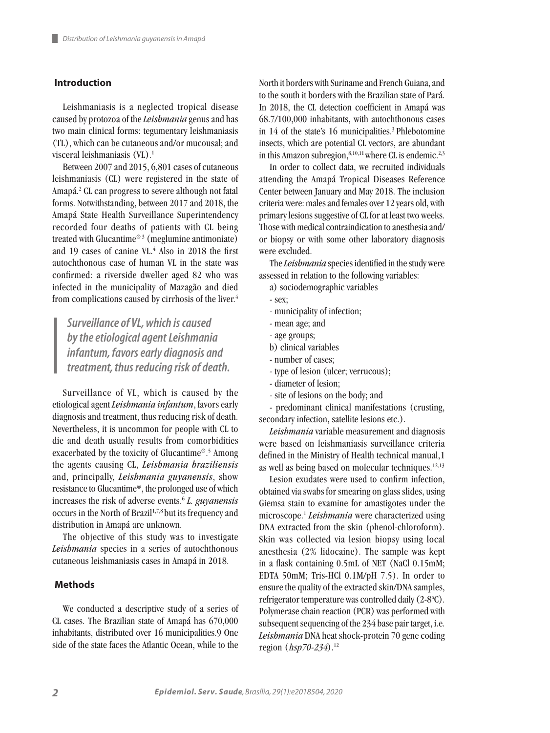## **Introduction**

Leishmaniasis is a neglected tropical disease caused by protozoa of the *Leishmania* genus and has two main clinical forms: tegumentary leishmaniasis (TL), which can be cutaneous and/or mucousal; and visceral leishmaniasis (VL).<sup>1</sup>

Between 2007 and 2015, 6,801 cases of cutaneous leishmaniasis (CL) were registered in the state of Amapá.2 CL can progress to severe although not fatal forms. Notwithstanding, between 2017 and 2018, the Amapá State Health Surveillance Superintendency recorded four deaths of patients with CL being treated with Glucantime® 3 (meglumine antimoniate) and 19 cases of canine VL.4 Also in 2018 the first autochthonous case of human VL in the state was confirmed: a riverside dweller aged 82 who was infected in the municipality of Mazagão and died from complications caused by cirrhosis of the liver.<sup>4</sup>

*Surveillance of VL, which is caused by the etiological agent Leishmania infantum, favors early diagnosis and treatment, thus reducing risk of death.*

Surveillance of VL, which is caused by the etiological agent *Leishmania infantum*, favors early diagnosis and treatment, thus reducing risk of death. Nevertheless, it is uncommon for people with CL to die and death usually results from comorbidities exacerbated by the toxicity of Glucantime®.<sup>5</sup> Among the agents causing CL, *Leishmania braziliensis* and, principally, *Leishmania guyanensis*, show resistance to Glucantime®, the prolonged use of which increases the risk of adverse events.6 *L. guyanensis*  occurs in the North of Brazil<sup>1,7,8</sup> but its frequency and distribution in Amapá are unknown.

The objective of this study was to investigate *Leishmania* species in a series of autochthonous cutaneous leishmaniasis cases in Amapá in 2018.

#### **Methods**

We conducted a descriptive study of a series of CL cases. The Brazilian state of Amapá has 670,000 inhabitants, distributed over 16 municipalities.9 One side of the state faces the Atlantic Ocean, while to the

North it borders with Suriname and French Guiana, and to the south it borders with the Brazilian state of Pará. In 2018, the CL detection coefficient in Amapá was 68.7/100,000 inhabitants, with autochthonous cases in  $14$  of the state's 16 municipalities.<sup>3</sup> Phlebotomine insects, which are potential CL vectors, are abundant in this Amazon subregion, $8,10,11$  where CL is endemic.<sup>2,3</sup>

In order to collect data, we recruited individuals attending the Amapá Tropical Diseases Reference Center between January and May 2018. The inclusion criteria were: males and females over 12 years old, with primary lesions suggestive of CL for at least two weeks. Those with medical contraindication to anesthesia and/ or biopsy or with some other laboratory diagnosis were excluded.

The *Leishmania* species identified in the study were assessed in relation to the following variables:

- a) sociodemographic variables
- sex;
- municipality of infection;
- mean age; and
- age groups;
- b) clinical variables
- number of cases;
- type of lesion (ulcer; verrucous);
- diameter of lesion;
- site of lesions on the body; and

- predominant clinical manifestations (crusting, secondary infection, satellite lesions etc.).

*Leishmania* variable measurement and diagnosis were based on leishmaniasis surveillance criteria defined in the Ministry of Health technical manual,1 as well as being based on molecular techniques.12,13

Lesion exudates were used to confirm infection, obtained via swabs for smearing on glass slides, using Giemsa stain to examine for amastigotes under the microscope.1 *Leishmania* were characterized using DNA extracted from the skin (phenol-chloroform). Skin was collected via lesion biopsy using local anesthesia (2% lidocaine). The sample was kept in a flask containing 0.5mL of NET (NaCl 0.15mM; EDTA 50mM; Tris-HCl 0.1M/pH 7.5). In order to ensure the quality of the extracted skin/DNA samples, refrigerator temperature was controlled daily (2-8°C). Polymerase chain reaction (PCR) was performed with subsequent sequencing of the 234 base pair target, i.e. *Leishmania* DNA heat shock-protein 70 gene coding region  $(hsp70-234).^{12}$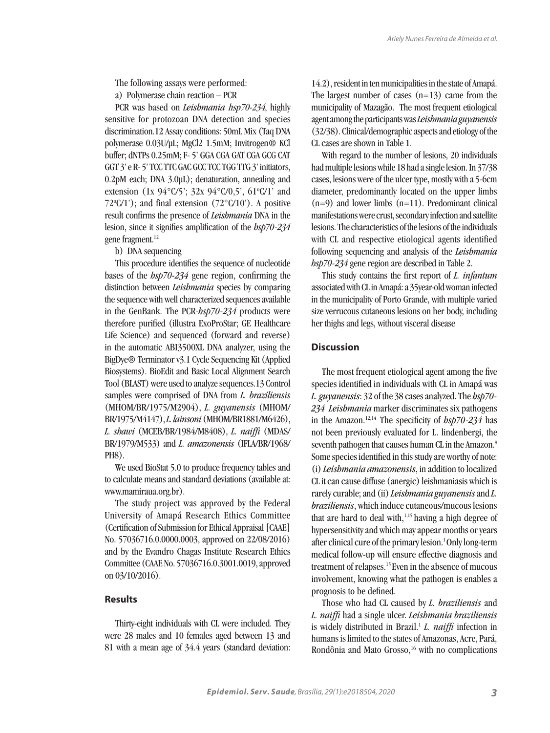The following assays were performed:

a) Polymerase chain reaction – PCR

PCR was based on *Leishmania* hsp70-234, highly sensitive for protozoan DNA detection and species discrimination.12 Assay conditions: 50mL Mix (Taq DNA polymerase 0.03U/µL; MgCl2 1.5mM; Invitrogen® KCl buffer; dNTPs 0.25mM; F- 5' GGA CGA GAT CGA GCG CAT GGT 3' e R- 5' TCC TTC GAC GCC TCC TGG TTG 3' initiators, 0.2pM each; DNA 3.0µL); denaturation, annealing and extension (1x 94°C/5'; 32x 94°C/0,5', 61°C/1' and  $72^{\circ}C/1$ <sup>'</sup>); and final extension  $(72^{\circ}C/10^{\circ})$ . A positive result confirms the presence of *Leishmania* DNA in the lesion, since it signifies amplification of the *hsp70-234* gene fragment.<sup>12</sup>

b) DNA sequencing

This procedure identifies the sequence of nucleotide bases of the *hsp70-234* gene region, confirming the distinction between *Leishmania* species by comparing the sequence with well characterized sequences available in the GenBank. The PCR-*hsp70-234* products were therefore purified (illustra ExoProStar; GE Healthcare Life Science) and sequenced (forward and reverse) in the automatic ABI3500XL DNA analyzer, using the BigDye® Terminator v3.1 Cycle Sequencing Kit (Applied Biosystems). BioEdit and Basic Local Alignment Search Tool (BLAST) were used to analyze sequences.13 Control samples were comprised of DNA from *L. braziliensis*  (MHOM/BR/1975/M2904), *L. guyanensis* (MHOM/ BR/1975/M4147), *L. lainsoni* (MHOM/BR1881/M6426), *L. shawi* (MCEB/BR/1984/M8408), *L. naiffi* (MDAS/ BR/1979/M533) and *L. amazonensis* (IFLA/BR/1968/ PH8).

We used BioStat 5.0 to produce frequency tables and to calculate means and standard deviations (available at: www.mamiraua.org.br).

The study project was approved by the Federal University of Amapá Research Ethics Committee (Certification of Submission for Ethical Appraisal [CAAE] No. 57036716.0.0000.0003, approved on 22/08/2016) and by the Evandro Chagas Institute Research Ethics Committee (CAAE No. 57036716.0.3001.0019, approved on 03/10/2016).

# **Results**

Thirty-eight individuals with CL were included. They were 28 males and 10 females aged between 13 and 81 with a mean age of 34.4 years (standard deviation: 14.2), resident in ten municipalities in the state of Amapá. The largest number of cases  $(n=13)$  came from the municipality of Mazagão. The most frequent etiological agent among the participants was *Leishmania guyanensis*  (32/38). Clinical/demographic aspects and etiology of the CL cases are shown in Table 1.

With regard to the number of lesions, 20 individuals had multiple lesions while 18 had a single lesion. In 37/38 cases, lesions were of the ulcer type, mostly with a 5-6cm diameter, predominantly located on the upper limbs  $(n=9)$  and lower limbs  $(n=11)$ . Predominant clinical manifestations were crust, secondary infection and satellite lesions. The characteristics of the lesions of the individuals with CL and respective etiological agents identified following sequencing and analysis of the *Leishmania hsp70-234* gene region are described in Table 2.

This study contains the first report of *L. infantum*  associated with CL in Amapá: a 35year-old woman infected in the municipality of Porto Grande, with multiple varied size verrucous cutaneous lesions on her body, including her thighs and legs, without visceral disease

## **Discussion**

The most frequent etiological agent among the five species identified in individuals with CL in Amapá was *L. guyanensis*: 32 of the 38 cases analyzed. The *hsp70- 234 Leishmania* marker discriminates six pathogens in the Amazon.12,14 The specificity of *hsp70-234* has not been previously evaluated for L. lindenbergi, the seventh pathogen that causes human CL in the Amazon.<sup>8</sup> Some species identified in this study are worthy of note: (i) *Leishmania amazonensis*, in addition to localized CL it can cause diffuse (anergic) leishmaniasis which is rarely curable; and (ii) *Leishmania guyanensis* and *L. braziliensis*, which induce cutaneous/mucous lesions that are hard to deal with,<sup>1,15</sup> having a high degree of hypersensitivity and which may appear months or years after clinical cure of the primary lesion.<sup>1</sup> Only long-term medical follow-up will ensure effective diagnosis and treatment of relapses.<sup>15</sup> Even in the absence of mucous involvement, knowing what the pathogen is enables a prognosis to be defined.

Those who had CL caused by *L. braziliensis* and *L. naiffi* had a single ulcer. *Leishmania braziliensis*  is widely distributed in Brazil.1 *L. naiffi* infection in humans is limited to the states of Amazonas, Acre, Pará, Rondônia and Mato Grosso,<sup>16</sup> with no complications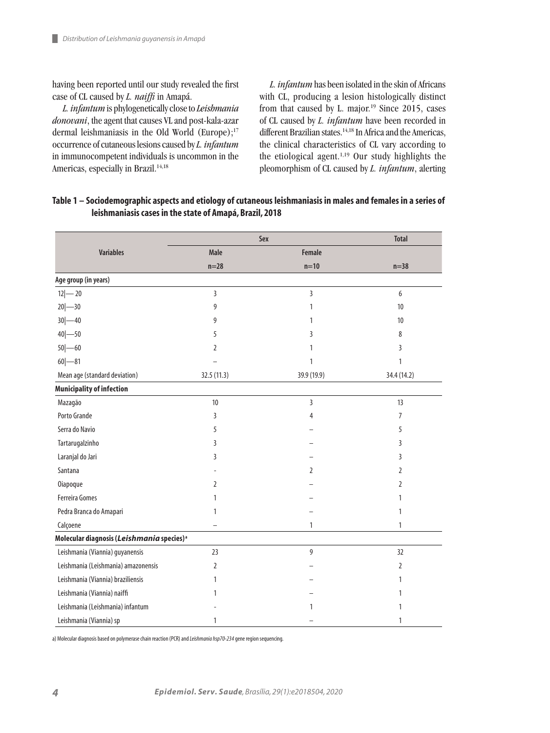ш

having been reported until our study revealed the first case of CL caused by *L. naiffi* in Amapá.

*L. infantum* is phylogenetically close to *Leishmania donovani*, the agent that causes VL and post-kala-azar dermal leishmaniasis in the Old World (Europe);<sup>17</sup> occurrence of cutaneous lesions caused by *L. infantum*  in immunocompetent individuals is uncommon in the Americas, especially in Brazil.<sup>14,18</sup>

*L. infantum* has been isolated in the skin of Africans with CL, producing a lesion histologically distinct from that caused by L. major.<sup>19</sup> Since 2015, cases of CL caused by *L. infantum* have been recorded in different Brazilian states.<sup>14,18</sup> In Africa and the Americas, the clinical characteristics of CL vary according to the etiological agent.1,19 Our study highlights the pleomorphism of CL caused by *L. infantum*, alerting

## **Table 1 – Sociodemographic aspects and etiology of cutaneous leishmaniasis in males and females in a series of leishmaniasis cases in the state of Amapá, Brazil, 2018**

|                                                       | Sex            | <b>Total</b>   |                |
|-------------------------------------------------------|----------------|----------------|----------------|
| <b>Variables</b>                                      | <b>Male</b>    | Female         |                |
|                                                       | $n=28$         | $n=10$         | $n=38$         |
| Age group (in years)                                  |                |                |                |
| $12 - 20$                                             | 3              | $\overline{3}$ | 6              |
| $20 - 30$                                             | 9              | 1              | 10             |
| $30 - 40$                                             | 9              | 1              | 10             |
| $40 - 50$                                             | 5              | 3              | 8              |
| $50 - 60$                                             | 2              | 1              | 3              |
| $60 - 81$                                             |                | $\mathbf{1}$   | $\mathbf{1}$   |
| Mean age (standard deviation)                         | 32.5 (11.3)    | 39.9 (19.9)    | 34.4 (14.2)    |
| <b>Municipality of infection</b>                      |                |                |                |
| Mazagão                                               | 10             | 3              | 13             |
| Porto Grande                                          | 3              | 4              | 7              |
| Serra do Navio                                        | 5              |                | 5              |
| Tartarugalzinho                                       | 3              |                | 3              |
| Laranjal do Jari                                      | 3              |                | 3              |
| Santana                                               |                | $\overline{2}$ | $\overline{2}$ |
| <b>Oiapoque</b>                                       | 2              |                | 2              |
| <b>Ferreira Gomes</b>                                 | 1              |                | 1              |
| Pedra Branca do Amapari                               | 1              |                | 1              |
| Calçoene                                              |                | $\mathbf{1}$   | 1              |
| Molecular diagnosis (Leishmania species) <sup>a</sup> |                |                |                |
| Leishmania (Viannia) guyanensis                       | 23             | 9              | 32             |
| Leishmania (Leishmania) amazonensis                   | $\overline{2}$ |                | $\overline{2}$ |
| Leishmania (Viannia) braziliensis                     | 1              |                | 1              |
| Leishmania (Viannia) naiffi                           | 1              |                | 1              |
| Leishmania (Leishmania) infantum                      |                | 1              | 1              |
| Leishmania (Viannia) sp                               | 1              |                | 1              |

a) Molecular diagnosis based on polymerase chain reaction (PCR) and *Leishmaniahsp70-234* gene region sequencing.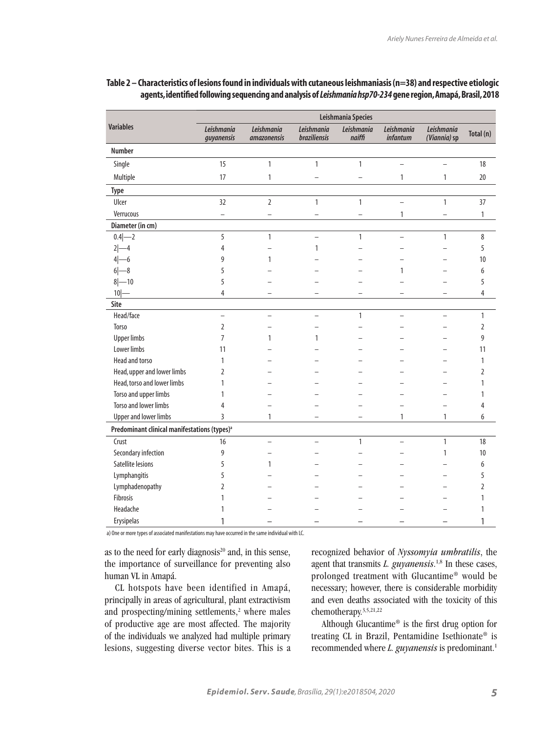|                                                          | Leishmania Species       |                                  |                            |                      |                                      |                            |                |  |
|----------------------------------------------------------|--------------------------|----------------------------------|----------------------------|----------------------|--------------------------------------|----------------------------|----------------|--|
| <b>Variables</b>                                         | Leishmania<br>guyanensis | Leishmania<br><i>amazonensis</i> | Leishmania<br>braziliensis | Leishmania<br>naiffi | <b>Leishmania</b><br><i>infantum</i> | Leishmania<br>(Viannia) sp | Total (n)      |  |
| <b>Number</b>                                            |                          |                                  |                            |                      |                                      |                            |                |  |
| Single                                                   | 15                       | $\mathbf{1}$                     | $\mathbf{1}$               | $\mathbf{1}$         | $\equiv$                             | $\overline{\phantom{0}}$   | 18             |  |
| Multiple                                                 | 17                       | 1                                |                            |                      | $\mathbf{1}$                         | 1                          | 20             |  |
| Type                                                     |                          |                                  |                            |                      |                                      |                            |                |  |
| Ulcer                                                    | 32                       | $\overline{2}$                   | 1                          | $\mathbf{1}$         |                                      | 1                          | 37             |  |
| Verrucous                                                | $\overline{\phantom{0}}$ |                                  |                            |                      | $\mathbf{1}$                         |                            | 1              |  |
| Diameter (in cm)                                         |                          |                                  |                            |                      |                                      |                            |                |  |
| $0.4 - 2$                                                | 5                        | $\mathbf{1}$                     | $\overline{a}$             | $\mathbf{1}$         | $\equiv$                             | $\mathbf{1}$               | 8              |  |
| $2 - 4$                                                  | 4                        |                                  | 1                          |                      |                                      |                            | 5              |  |
| $4 - 6$                                                  | 9                        | $\mathbf{1}$                     |                            |                      |                                      |                            | 10             |  |
| $6 - 8$                                                  | 5                        |                                  |                            |                      | 1                                    |                            | 6              |  |
| $8 - 10$                                                 | 5                        |                                  |                            |                      |                                      |                            | 5              |  |
| $10$ –                                                   | $\overline{4}$           |                                  |                            |                      |                                      |                            | $\overline{4}$ |  |
| Site                                                     |                          |                                  |                            |                      |                                      |                            |                |  |
| Head/face                                                | $\overline{\phantom{0}}$ | $\overline{a}$                   | $\overline{a}$             | $\mathbf{1}$         | $\equiv$                             | $\overline{a}$             | $\mathbf{1}$   |  |
| Torso                                                    | $\overline{2}$           |                                  |                            |                      |                                      |                            | $\overline{2}$ |  |
| <b>Upper limbs</b>                                       | $\overline{7}$           | 1                                | $\mathbf{1}$               |                      |                                      |                            | 9              |  |
| Lower limbs                                              | 11                       |                                  |                            |                      |                                      |                            | 11             |  |
| Head and torso                                           | $\mathbf{1}$             |                                  |                            |                      |                                      |                            | 1              |  |
| Head, upper and lower limbs                              | $\overline{2}$           |                                  |                            |                      |                                      |                            | $\overline{2}$ |  |
| Head, torso and lower limbs                              | 1                        |                                  |                            |                      |                                      |                            | 1              |  |
| Torso and upper limbs                                    | $\mathbf{1}$             |                                  |                            |                      |                                      |                            | 1              |  |
| <b>Torso and lower limbs</b>                             | 4                        |                                  |                            |                      |                                      |                            | $\overline{4}$ |  |
| <b>Upper and lower limbs</b>                             | 3                        | $\mathbf{1}$                     |                            |                      | 1                                    | 1                          | 6              |  |
| Predominant clinical manifestations (types) <sup>a</sup> |                          |                                  |                            |                      |                                      |                            |                |  |
| Crust                                                    | 16                       | $\overline{\phantom{0}}$         |                            | $\mathbf{1}$         | L.                                   | $\mathbf{1}$               | 18             |  |
| Secondary infection                                      | 9                        |                                  |                            |                      |                                      | 1                          | 10             |  |
| Satellite lesions                                        | 5                        | $\mathbf{1}$                     |                            |                      |                                      |                            | 6              |  |
| Lymphangitis                                             | 5                        |                                  |                            |                      |                                      |                            | 5              |  |
| Lymphadenopathy                                          | $\overline{2}$           |                                  |                            |                      |                                      |                            | $\overline{2}$ |  |
| Fibrosis                                                 | $\mathbf{1}$             |                                  |                            |                      |                                      |                            | 1              |  |
| Headache                                                 | 1                        |                                  |                            |                      |                                      |                            | 1              |  |
| Erysipelas                                               | 1                        |                                  |                            |                      |                                      |                            | 1              |  |

## **Table 2 – Characteristics of lesions found in individuals with cutaneous leishmaniasis (n=38) and respective etiologic agents, identified following sequencing and analysis of** *Leishmania hsp70-234* **gene region, Amapá, Brasil, 2018**

a) One or more types of associated manifestations may have occurred in the same individual with LC.

as to the need for early diagnosis<sup>20</sup> and, in this sense, the importance of surveillance for preventing also human VL in Amapá.

CL hotspots have been identified in Amapá, principally in areas of agricultural, plant extractivism and prospecting/mining settlements, $2$  where males of productive age are most affected. The majority of the individuals we analyzed had multiple primary lesions, suggesting diverse vector bites. This is a

recognized behavior of *Nyssomyia umbratilis*, the agent that transmits *L. guyanensis*.<sup>1,8</sup> In these cases, prolonged treatment with Glucantime® would be necessary; however, there is considerable morbidity and even deaths associated with the toxicity of this chemotherapy.3,5,21,22

Although Glucantime® is the first drug option for treating CL in Brazil, Pentamidine Isethionate® is recommended where *L. guyanensis* is predominant.<sup>1</sup>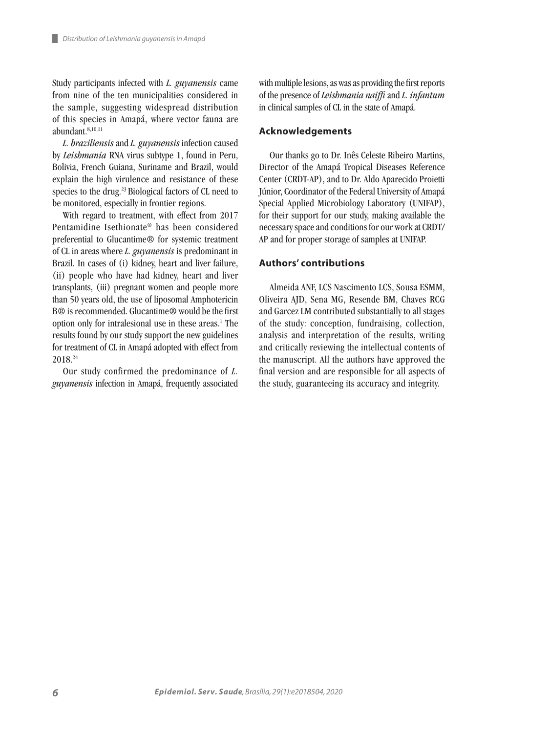ш

Study participants infected with *L. guyanensis* came from nine of the ten municipalities considered in the sample, suggesting widespread distribution of this species in Amapá, where vector fauna are abundant.8,10,11

*L. braziliensis* and *L. guyanensis* infection caused by *Leishmania* RNA virus subtype 1, found in Peru, Bolivia, French Guiana, Suriname and Brazil, would explain the high virulence and resistance of these species to the drug.<sup>23</sup> Biological factors of CL need to be monitored, especially in frontier regions.

With regard to treatment, with effect from 2017 Pentamidine Isethionate® has been considered preferential to Glucantime® for systemic treatment of CL in areas where *L. guyanensis* is predominant in Brazil. In cases of (i) kidney, heart and liver failure, (ii) people who have had kidney, heart and liver transplants, (iii) pregnant women and people more than 50 years old, the use of liposomal Amphotericin B® is recommended. Glucantime® would be the first option only for intralesional use in these areas.<sup>1</sup> The results found by our study support the new guidelines for treatment of CL in Amapá adopted with effect from 2018.24

Our study confirmed the predominance of *L. guyanensis* infection in Amapá, frequently associated with multiple lesions, as was as providing the first reports of the presence of *Leishmania naiffi* and *L. infantum* in clinical samples of CL in the state of Amapá.

#### **Acknowledgements**

Our thanks go to Dr. Inês Celeste Ribeiro Martins, Director of the Amapá Tropical Diseases Reference Center (CRDT-AP), and to Dr. Aldo Aparecido Proietti Júnior, Coordinator of the Federal University of Amapá Special Applied Microbiology Laboratory (UNIFAP), for their support for our study, making available the necessary space and conditions for our work at CRDT/ AP and for proper storage of samples at UNIFAP.

#### **Authors' contributions**

Almeida ANF, LCS Nascimento LCS, Sousa ESMM, Oliveira AJD, Sena MG, Resende BM, Chaves RCG and Garcez LM contributed substantially to all stages of the study: conception, fundraising, collection, analysis and interpretation of the results, writing and critically reviewing the intellectual contents of the manuscript. All the authors have approved the final version and are responsible for all aspects of the study, guaranteeing its accuracy and integrity.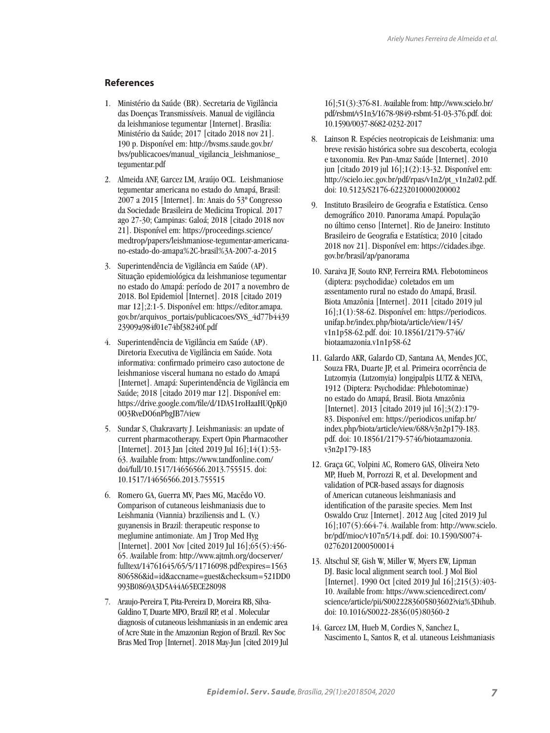## **References**

- 1. Ministério da Saúde (BR). Secretaria de Vigilância das Doenças Transmissíveis. Manual de vigilância da leishmaniose tegumentar [Internet]. Brasília: Ministério da Saúde; 2017 [citado 2018 nov 21]. 190 p. Disponível em: http://bvsms.saude.gov.br/ bvs/publicacoes/manual\_vigilancia\_leishmaniose\_ tegumentar.pdf
- 2. Almeida ANF, Garcez LM, Araújo OCL. Leishmaniose tegumentar americana no estado do Amapá, Brasil: 2007 a 2015 [Internet]. In: Anais do 53º Congresso da Sociedade Brasileira de Medicina Tropical. 2017 ago 27-30; Campinas: Galoá; 2018 [citado 2018 nov 21]. Disponível em: https://proceedings.science/ medtrop/papers/leishmaniose-tegumentar-americanano-estado-do-amapa%2C-brasil%3A-2007-a-2015
- 3. Superintendência de Vigilância em Saúde (AP). Situação epidemiológica da leishmaniose tegumentar no estado do Amapá: período de 2017 a novembro de 2018. Bol Epidemiol [Internet]. 2018 [citado 2019 mar 12];2:1-5. Disponível em: https://editor.amapa. gov.br/arquivos\_portais/publicacoes/SVS\_4d77b4439 23909a984f01e74bf38240f.pdf
- 4. Superintendência de Vigilância em Saúde (AP). Diretoria Executiva de Vigilância em Saúde. Nota informativa: confirmado primeiro caso autoctone de leishmaniose visceral humana no estado do Amapá [Internet]. Amapá: Superintendência de Vigilância em Saúde; 2018 [citado 2019 mar 12]. Disponível em: https://drive.google.com/file/d/1DA51roHaaHUQpKj0 0O3RveDO6nPbgJB7/view
- 5. Sundar S, Chakravarty J. Leishmaniasis: an update of current pharmacotherapy. Expert Opin Pharmacother [Internet]. 2013 Jan [cited 2019 Jul 16];14(1):53- 63. Available from: https://www.tandfonline.com/ doi/full/10.1517/14656566.2013.755515. doi: 10.1517/14656566.2013.755515
- 6. Romero GA, Guerra MV, Paes MG, Macêdo VO. Comparison of cutaneous leishmaniasis due to Leishmania (Viannia) braziliensis and L. (V.) guyanensis in Brazil: therapeutic response to meglumine antimoniate. Am J Trop Med Hyg [Internet]. 2001 Nov [cited 2019 Jul 16];65(5):456- 65. Available from: http://www.ajtmh.org/docserver/ fulltext/14761645/65/5/11716098.pdf?expires=1563 806586&id=id&accname=guest&checksum=521DD0 993B0869A3D5A44A65ECE28098
- 7. Araujo-Pereira T, Pita-Pereira D, Moreira RB, Silva-Galdino T, Duarte MPO, Brazil RP, et al . Molecular diagnosis of cutaneous leishmaniasis in an endemic area of Acre State in the Amazonian Region of Brazil. Rev Soc Bras Med Trop [Internet]. 2018 May-Jun [cited 2019 Jul

16];51(3):376-81. Available from: http://www.scielo.br/ pdf/rsbmt/v51n3/1678-9849-rsbmt-51-03-376.pdf. doi: 10.1590/0037-8682-0232-2017

- 8. Lainson R. Espécies neotropicais de Leishmania: uma breve revisão histórica sobre sua descoberta, ecologia e taxonomia. Rev Pan-Amaz Saúde [Internet]. 2010 jun [citado 2019 jul 16];1(2):13-32. Disponível em: http://scielo.iec.gov.br/pdf/rpas/v1n2/pt\_v1n2a02.pdf. doi: 10.5123/S2176-62232010000200002
- 9. Instituto Brasileiro de Geografia e Estatística. Censo demográfico 2010. Panorama Amapá. População no último censo [Internet]. Rio de Janeiro: Instituto Brasileiro de Geografia e Estatística; 2010 [citado 2018 nov 21]. Disponível em: https://cidades.ibge. gov.br/brasil/ap/panorama
- 10. Saraiva JF, Souto RNP, Ferreira RMA. Flebotomineos (diptera: psychodidae) coletados em um assentamento rural no estado do Amapá, Brasil. Biota Amazônia [Internet]. 2011 [citado 2019 jul 16];1(1):58-62. Disponível em: https://periodicos. unifap.br/index.php/biota/article/view/145/ v1n1p58-62.pdf. doi: 10.18561/2179-5746/ biotaamazonia.v1n1p58-62
- 11. Galardo AKR, Galardo CD, Santana AA, Mendes JCC, Souza FRA, Duarte JP, et al. Primeira ocorrência de Lutzomyia (Lutzomyia) longipalpis LUTZ & NEIVA, 1912 (Diptera: Psychodidae: Phlebotominae) no estado do Amapá, Brasil. Biota Amazônia [Internet]. 2013 [citado 2019 jul 16];3(2):179- 83. Disponível em: https://periodicos.unifap.br/ index.php/biota/article/view/688/v3n2p179-183. pdf. doi: 10.18561/2179-5746/biotaamazonia. v3n2p179-183
- 12. Graça GC, Volpini AC, Romero GAS, Oliveira Neto MP, Hueb M, Porrozzi R, et al. Development and validation of PCR-based assays for diagnosis of American cutaneous leishmaniasis and identification of the parasite species. Mem Inst Oswaldo Cruz [Internet]. 2012 Aug [cited 2019 Jul 16];107(5):664-74. Available from: http://www.scielo. br/pdf/mioc/v107n5/14.pdf. doi: 10.1590/S0074- 02762012000500014
- 13. Altschul SF, Gish W, Miller W, Myers EW, Lipman DJ. Basic local alignment search tool. J Mol Biol [Internet]. 1990 Oct [cited 2019 Jul 16];215(3):403- 10. Available from: https://www.sciencedirect.com/ science/article/pii/S0022283605803602?via%3Dihub. doi: 10.1016/S0022-2836(05)80360-2
- 14. Garcez LM, Hueb M, Cordies N, Sanchez L, Nascimento L, Santos R, et al. utaneous Leishmaniasis